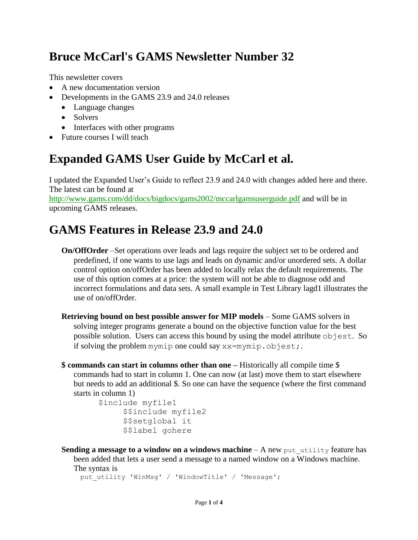# **Bruce McCarl's GAMS Newsletter Number 32**

This newsletter covers

- A new documentation version
- Developments in the GAMS 23.9 and 24.0 releases
	- Language changes
	- Solvers
	- Interfaces with other programs
- Future courses I will teach

# **Expanded GAMS User Guide by McCarl et al.**

I updated the Expanded User's Guide to reflect 23.9 and 24.0 with changes added here and there. The latest can be found at

<http://www.gams.com/dd/docs/bigdocs/gams2002/mccarlgamsuserguide.pdf> and will be in upcoming GAMS releases.

## **GAMS Features in Release 23.9 and 24.0**

- **On/OffOrder** –Set operations over leads and lags require the subject set to be ordered and predefined, if one wants to use lags and leads on dynamic and/or unordered sets. A dollar control option on/offOrder has been added to locally relax the default requirements. The use of this option comes at a price: the system will not be able to diagnose odd and incorrect formulations and data sets. A small example in Test Library [lagd1](http://www.gams.com/testlib/libhtml/lagd1.htm) illustrates the use of on/offOrder.
- **Retrieving bound on best possible answer for MIP models** Some GAMS solvers in solving integer programs generate a bound on the objective function value for the best possible solution. Users can access this bound by using the model attribute objest. So if solving the problem mymip one could say xx=mymip.objest;.
- **\$ commands can start in columns other than one –** Historically all compile time \$ commands had to start in column 1. One can now (at last) move them to start elsewhere but needs to add an additional \$. So one can have the sequence (where the first command starts in column 1)

```
$include myfile1
     $$include myfile2
     $$setglobal it
     $$label gohere
```
**Sending a message to a window on a windows machine**  $-$  A new put utility feature has

```
been added that lets a user send a message to a named window on a Windows machine. 
The syntax is
 put utility 'WinMsg' / 'WindowTitle' / 'Message';
```
Page **1** of **4**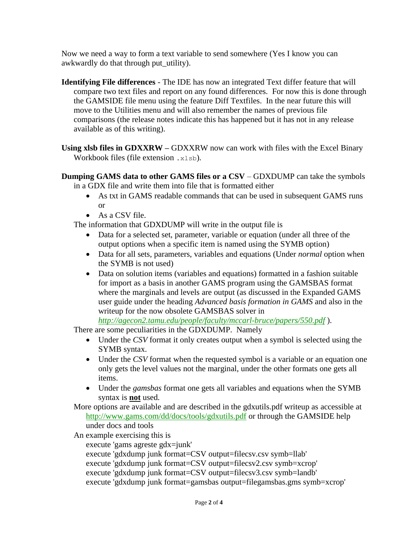Now we need a way to form a text variable to send somewhere (Yes I know you can awkwardly do that through put utility).

**Identifying File differences** - The IDE has now an integrated Text differ feature that will compare two text files and report on any found differences. For now this is done through the GAMSIDE file menu using the feature Diff Textfiles. In the near future this will move to the Utilities menu and will also remember the names of previous file comparisons (the release notes indicate this has happened but it has not in any release available as of this writing).

**Using xlsb files in GDXXRW –** GDXXRW now can work with files with the Excel Binary Workbook files (file extension .xlsb).

**Dumping GAMS data to other GAMS files or a CSV** – GDXDUMP can take the symbols in a GDX file and write them into file that is formatted either

- As txt in GAMS readable commands that can be used in subsequent GAMS runs or
- As a CSV file.

The information that GDXDUMP will write in the output file is

- Data for a selected set, parameter, variable or equation (under all three of the output options when a specific item is named using the SYMB option)
- Data for all sets, parameters, variables and equations (Under *normal* option when the SYMB is not used)
- Data on solution items (variables and equations) formatted in a fashion suitable for import as a basis in another GAMS program using the GAMSBAS format where the marginals and levels are output (as discussed in the Expanded GAMS user guide under the heading *Advanced basis formation in GAMS* and also in the writeup for the now obsolete GAMSBAS solver in

*<http://agecon2.tamu.edu/people/faculty/mccarl-bruce/papers/550.pdf>* ).

There are some peculiarities in the GDXDUMP. Namely

- Under the *CSV* format it only creates output when a symbol is selected using the SYMB syntax.
- Under the *CSV* format when the requested symbol is a variable or an equation one only gets the level values not the marginal, under the other formats one gets all items.
- Under the *gamsbas* format one gets all variables and equations when the SYMB syntax is **not** used.
- More options are available and are described in the gdxutils.pdf writeup as accessible at <http://www.gams.com/dd/docs/tools/gdxutils.pdf> or through the GAMSIDE help under docs and tools
- An example exercising this is

execute 'gams agreste gdx=junk'

- execute 'gdxdump junk format=CSV output=filecsv.csv symb=llab'
- execute 'gdxdump junk format=CSV output=filecsv2.csv symb=xcrop'
- execute 'gdxdump junk format=CSV output=filecsv3.csv symb=landb'
- execute 'gdxdump junk format=gamsbas output=filegamsbas.gms symb=xcrop'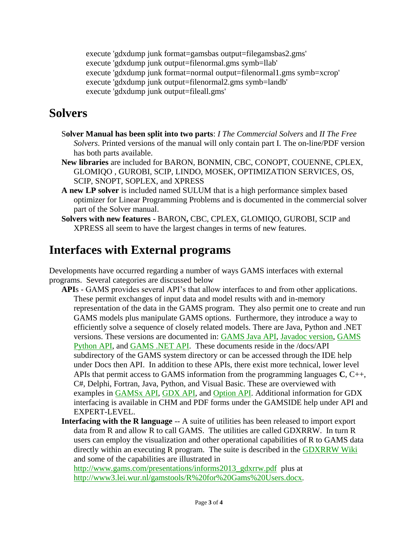execute 'gdxdump junk format=gamsbas output=filegamsbas2.gms' execute 'gdxdump junk output=filenormal.gms symb=llab' execute 'gdxdump junk format=normal output=filenormal1.gms symb=xcrop' execute 'gdxdump junk output=filenormal2.gms symb=landb' execute 'gdxdump junk output=fileall.gms'

#### **Solvers**

- S**olver Manual has been split into two parts**: *I The Commercial Solvers* and *II The Free Solvers*. Printed versions of the manual will only contain part I. The on-line/PDF version has both parts available.
- **New libraries** are included for BARON, BONMIN, CBC, CONOPT, COUENNE, CPLEX, GLOMIQO , GUROBI, SCIP, LINDO, MOSEK, OPTIMIZATION SERVICES, OS, SCIP, SNOPT, SOPLEX, and XPRESS
- **A new LP solver** is included named SULUM that is a high performance simplex based optimizer for Linear Programming Problems and is documented in the commercial solver part of the Solver manual.
- **Solvers with new features -** BARON**,** CBC, CPLEX, GLOMIQO, GUROBI, SCIP and XPRESS all seem to have the largest changes in terms of new features.

### **Interfaces with External programs**

Developments have occurred regarding a number of ways GAMS interfaces with external programs. Several categories are discussed below

- **API**s GAMS provides several API's that allow interfaces to and from other applications. These permit exchanges of input data and model results with and in-memory representation of the data in the GAMS program. They also permit one to create and run GAMS models plus manipulate GAMS options. Furthermore, they introduce a way to efficiently solve a sequence of closely related models. There are Java, Python and .NET versions. These versions are documented in: [GAMS Java API,](file:///C:/GAMS/win64/24.0/docs/api/GAMS_java.pdf) [Javadoc version,](file:///C:/GAMS/win64/24.0/apifiles/Java/api/javadoc/index.html) [GAMS](file:///C:/GAMS/win64/24.0/docs/api/GAMS_python.pdf)  [Python API,](file:///C:/GAMS/win64/24.0/docs/api/GAMS_python.pdf) and [GAMS .NET API.](file:///C:/GAMS/win64/24.0/docs/api/GAMS.net4.chm) These documents reside in the /docs/API subdirectory of the GAMS system directory or can be accessed through the IDE help under Docs then API. In addition to these APIs, there exist more technical, lower level APIs that permit access to GAMS information from the programming languages **C**, C++, C#, Delphi, Fortran, Java, Python, and Visual Basic. These are overviewed with examples in [GAMSx API,](http://www.gams.com/dd/docs/api/expert-level/gamsxqdrep.html) [GDX API,](http://www.gams.com/dd/docs/api/expert-level/gdxqdrep.html) and [Option API.](http://www.gams.com/dd/docs/api/expert-level/optqdrep.html) Additional information for GDX interfacing is available in CHM and PDF forms under the GAMSIDE help under API and EXPERT-LEVEL.
- **Interfacing with the R language** -- A suite of utilities has been released to import export data from R and allow R to call GAMS. The utilities are called GDXRRW. In turn R users can employ the visualization and other operational capabilities of R to GAMS data directly within an executing R program. The suite is described in the [GDXRRW Wiki](http://support.gams.com/doku.php?id=gdxrrw:interfacing_gams_and_r) and some of the capabilities are illustrated in

[http://www.gams.com/presentations/informs2013\\_gdxrrw.pdf](http://www.gams.com/presentations/informs2012_gdxrrw.pdf) plus at <http://www3.lei.wur.nl/gamstools/R%20for%20Gams%20Users.docx>*.*